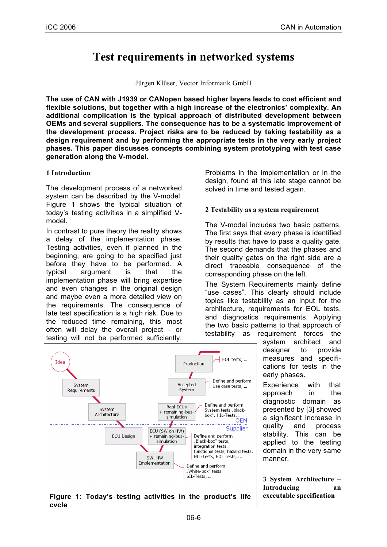# **Test requirements in networked systems**

Jürgen Klüser, Vector Informatik GmbH

**The use of CAN with J1939 or CANopen based higher layers leads to cost efficient and flexible solutions, but together with a high increase of the electronics' complexity. An additional complication is the typical approach of distributed development between OEMs and several suppliers. The consequence has to be a systematic improvement of the development process. Project risks are to be reduced by taking testability as a design requirement and by performing the appropriate tests in the very early project phases. This paper discusses concepts combining system prototyping with test case generation along the V-model.**

#### **1 Introduction**

**cycle**

The development process of a networked system can be described by the V-model. Figure 1 shows the typical situation of today's testing activities in a simplified Vmodel.

In contrast to pure theory the reality shows a delay of the implementation phase. Testing activities, even if planned in the beginning, are going to be specified just before they have to be performed. A typical argument is that the implementation phase will bring expertise and even changes in the original design and maybe even a more detailed view on the requirements. The consequence of late test specification is a high risk. Due to the reduced time remaining, this most often will delay the overall project – or testing will not be performed sufficiently.

Problems in the implementation or in the design, found at this late stage cannot be solved in time and tested again.

#### **2 Testability as a system requirement**

The V-model includes two basic patterns. The first says that every phase is identified by results that have to pass a quality gate. The second demands that the phases and their quality gates on the right side are a direct traceable consequence of the corresponding phase on the left.

The System Requirements mainly define "use cases". This clearly should include topics like testability as an input for the architecture, requirements for EOL tests, and diagnostics requirements. Applying the two basic patterns to that approach of testability as requirement forces the

system architect and designer to provide measures and specifications for tests in the early phases.

Experience with that approach in the diagnostic domain as presented by [3] showed a significant increase in quality and process stability. This can be applied to the testing domain in the very same manner.

**3 System Architecture – Introducing an**

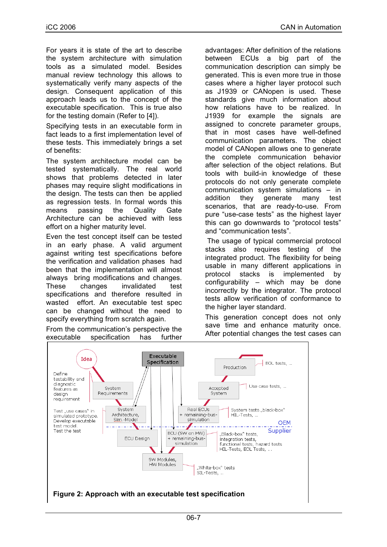For years it is state of the art to describe the system architecture with simulation tools as a simulated model. Besides manual review technology this allows to systematically verify many aspects of the design. Consequent application of this approach leads us to the concept of the executable specification. This is true also for the testing domain (Refer to [4]).

Specifying tests in an executable form in fact leads to a first implementation level of these tests. This immediately brings a set of benefits:

The system architecture model can be tested systematically. The real world shows that problems detected in later phases may require slight modifications in the design. The tests can then be applied as regression tests. In formal words this means passing the Quality Gate Architecture can be achieved with less effort on a higher maturity level.

Even the test concept itself can be tested in an early phase. A valid argument against writing test specifications before the verification and validation phases had been that the implementation will almost always bring modifications and changes. These changes invalidated test specifications and therefore resulted in wasted effort. An executable test spec can be changed without the need to specify everything from scratch again.

From the communication's perspective the executable specification has further advantages: After definition of the relations between ECUs a big part of the communication description can simply be generated. This is even more true in those cases where a higher layer protocol such as J1939 or CANopen is used. These standards give much information about how relations have to be realized. In J1939 for example the signals are assigned to concrete parameter groups, that in most cases have well-defined communication parameters. The object model of CANopen allows one to generate the complete communication behavior after selection of the object relations. But tools with build-in knowledge of these protocols do not only generate complete communication system simulations – in addition they generate many test scenarios, that are ready-to-use. From pure "use-case tests" as the highest layer this can go downwards to "protocol tests" and "communication tests".

The usage of typical commercial protocol stacks also requires testing of the integrated product. The flexibility for being usable in many different applications in protocol stacks is implemented by configurability – which may be done incorrectly by the integrator. The protocol tests allow verification of conformance to the higher layer standard.

This generation concept does not only save time and enhance maturity once. After potential changes the test cases can

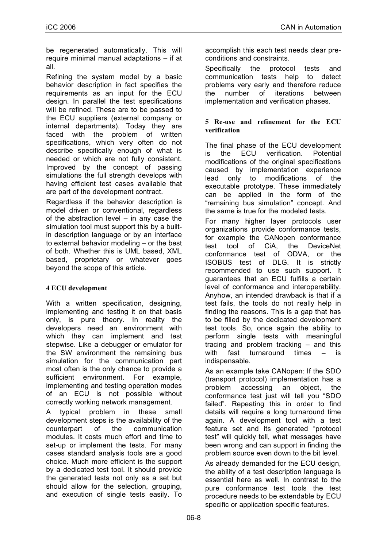be regenerated automatically. This will require minimal manual adaptations – if at all.

Refining the system model by a basic behavior description in fact specifies the requirements as an input for the ECU design. In parallel the test specifications will be refined. These are to be passed to the ECU suppliers (external company or internal departments). Today they are faced with the problem of written specifications, which very often do not describe specifically enough of what is needed or which are not fully consistent. Improved by the concept of passing simulations the full strength develops with having efficient test cases available that are part of the development contract.

Regardless if the behavior description is model driven or conventional, regardless of the abstraction level – in any case the simulation tool must support this by a builtin description language or by an interface to external behavior modeling – or the best of both. Whether this is UML based, XML based, proprietary or whatever goes beyond the scope of this article.

### **4 ECU development**

With a written specification, designing, implementing and testing it on that basis only, is pure theory. In reality the developers need an environment with which they can implement and test stepwise. Like a debugger or emulator for the SW environment the remaining bus simulation for the communication part most often is the only chance to provide a sufficient environment. For example, implementing and testing operation modes of an ECU is not possible without correctly working network management.

A typical problem in these small development steps is the availability of the counterpart of the communication modules. It costs much effort and time to set-up or implement the tests. For many cases standard analysis tools are a good choice. Much more efficient is the support by a dedicated test tool. It should provide the generated tests not only as a set but should allow for the selection, grouping, and execution of single tests easily. To

accomplish this each test needs clear preconditions and constraints.

Specifically the protocol tests and communication tests help to detect problems very early and therefore reduce the number of iterations between implementation and verification phases.

#### **5 Re-use and refinement for the ECU verification**

The final phase of the ECU development is the ECU verification. Potential modifications of the original specifications caused by implementation experience lead only to modifications of the executable prototype. These immediately can be applied in the form of the "remaining bus simulation" concept. And the same is true for the modeled tests.

For many higher layer protocols user organizations provide conformance tests, for example the CANopen conformance test tool of CiA, the DeviceNet conformance test of ODVA, or the ISOBUS test of DLG. It is strictly recommended to use such support. It guarantees that an ECU fulfills a certain level of conformance and interoperability. Anyhow, an intended drawback is that if a test fails, the tools do not really help in finding the reasons. This is a gap that has to be filled by the dedicated development test tools. So, once again the ability to perform single tests with meaningful tracing and problem tracking – and this with fast turnaround times – is indispensable.

As an example take CANopen: If the SDO (transport protocol) implementation has a problem accessing an object, the conformance test just will tell you "SDO failed". Repeating this in order to find details will require a long turnaround time again. A development tool with a test feature set and its generated "protocol test" will quickly tell, what messages have been wrong and can support in finding the problem source even down to the bit level.

As already demanded for the ECU design, the ability of a test description language is essential here as well. In contrast to the pure conformance test tools the test procedure needs to be extendable by ECU specific or application specific features.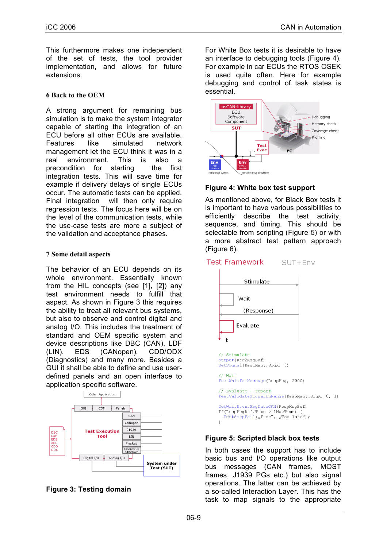This furthermore makes one independent of the set of tests, the tool provider implementation, and allows for future extensions.

#### **6 Back to the OEM**

A strong argument for remaining bus simulation is to make the system integrator capable of starting the integration of an ECU before all other ECUs are available. Features like simulated network management let the ECU think it was in a real environment. This is also a precondition for starting the first integration tests. This will save time for example if delivery delays of single ECUs occur. The automatic tests can be applied. Final integration will then only require regression tests. The focus here will be on the level of the communication tests, while the use-case tests are more a subject of the validation and acceptance phases.

#### **7 Some detail aspects**

The behavior of an ECU depends on its whole environment. Essentially known from the HIL concepts (see [1], [2]) any test environment needs to fulfill that aspect. As shown in Figure 3 this requires the ability to treat all relevant bus systems, but also to observe and control digital and analog I/O. This includes the treatment of standard and OEM specific system and device descriptions like DBC (CAN), LDF (LIN), EDS (CANopen), CDD/ODX (Diagnostics) and many more. Besides a GUI it shall be able to define and use userdefined panels and an open interface to application specific software.





For White Box tests it is desirable to have an interface to debugging tools (Figure 4). For example in car ECUs the RTOS OSEK is used quite often. Here for example debugging and control of task states is essential.



### **Figure 4: White box test support**

As mentioned above, for Black Box tests it is important to have various possibilities to efficiently describe the test activity, sequence, and timing. This should be selectable from scripting (Figure 5) or with a more abstract test pattern approach (Figure 6).

#### **Test Framework** SUT+Env



### **Figure 5: Scripted black box tests**

In both cases the support has to include basic bus and I/O operations like output bus messages (CAN frames, MOST frames, J1939 PGs etc.) but also signal operations. The latter can be achieved by a so-called Interaction Layer. This has the task to map signals to the appropriate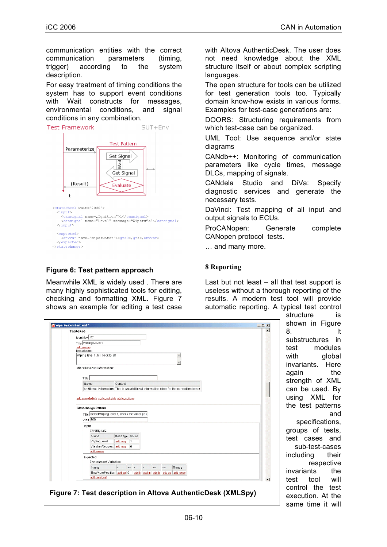communication entities with the correct communication parameters (timing, trigger) according to the system description.

For easy treatment of timing conditions the system has to support event conditions with Wait constructs for messages, environmental conditions, and signal conditions in any combination.



## **Figure 6: Test pattern approach**

Meanwhile XML is widely used . There are many highly sophisticated tools for editing, checking and formatting XML. Figure 7 shows an example for editing a test case with Altova AuthenticDesk. The user does not need knowledge about the XML structure itself or about complex scripting languages.

The open structure for tools can be utilized for test generation tools too. Typically domain know-how exists in various forms. Examples for test-case generations are:

DOORS: Structuring requirements from which test-case can be organized.

UML Tool: Use sequence and/or state diagrams

CANdb++: Monitoring of communication parameters like cycle times, message DLCs, mapping of signals.

CANdela Studio and DiVa: Specify diagnostic services and generate the necessary tests.

DaVinci: Test mapping of all input and output signals to ECUs.

ProCANopen: Generate complete CANopen protocol tests.

… and many more.

#### **8 Reporting**

Last but not least  $-$  all that test support is useless without a thorough reporting of the results. A modern test tool will provide automatic reporting. A typical test control

| Testcase                    |                                                  |         |                 |                  |                 |      |                                                                                          |  |  |
|-----------------------------|--------------------------------------------------|---------|-----------------|------------------|-----------------|------|------------------------------------------------------------------------------------------|--|--|
| Identifier TC1              |                                                  |         |                 |                  |                 |      |                                                                                          |  |  |
|                             | Title Wiping Level 1                             |         |                 |                  |                 |      |                                                                                          |  |  |
| add version<br>Description: |                                                  |         |                 |                  |                 |      |                                                                                          |  |  |
|                             | Wiping level 1, fall back to off                 |         |                 |                  |                 |      | $\blacktriangle$                                                                         |  |  |
|                             |                                                  |         |                 |                  |                 |      |                                                                                          |  |  |
|                             | Miscellaneous Information:                       |         |                 |                  |                 |      |                                                                                          |  |  |
|                             |                                                  |         |                 |                  |                 |      |                                                                                          |  |  |
| Title                       |                                                  |         |                 |                  |                 |      |                                                                                          |  |  |
|                             | Name                                             | Content |                 |                  |                 |      |                                                                                          |  |  |
|                             |                                                  |         |                 |                  |                 |      | Additional information This is an additional information block for the current test case |  |  |
|                             | Title Select Wiping level 1, check the wiper pos |         |                 |                  |                 |      |                                                                                          |  |  |
|                             | Wait 800                                         |         |                 |                  |                 |      |                                                                                          |  |  |
|                             | Input                                            |         |                 |                  |                 |      |                                                                                          |  |  |
|                             | CANSignals:                                      |         |                 |                  |                 |      |                                                                                          |  |  |
|                             | Name                                             | Message | Value           |                  |                 |      |                                                                                          |  |  |
|                             | WipingLevel                                      | add msg | h               |                  |                 |      |                                                                                          |  |  |
|                             | WasherRequest add msg                            |         | l0.             |                  |                 |      |                                                                                          |  |  |
|                             | add envval                                       |         |                 |                  |                 |      |                                                                                          |  |  |
|                             | Expected                                         |         |                 |                  |                 |      |                                                                                          |  |  |
|                             | Environment Variables:                           |         |                 |                  |                 |      |                                                                                          |  |  |
|                             | Name                                             | $=$     | $\leq$ > $\leq$ | $\triangleright$ | $\leq$ $\equiv$ | $>=$ | Range                                                                                    |  |  |
|                             | EnwWiperPosition add eq 0<br>add cansignal       |         |                 |                  |                 |      | add k add g add le add ge add range                                                      |  |  |
|                             |                                                  |         |                 |                  |                 |      |                                                                                          |  |  |

structure is shown in Figure 8. It substructures in test modules with global invariants. Here again the strength of XML can be used. By using XML for the test patterns and specifications, groups of tests, test cases and sub-test-cases including their respective invariants the test tool will control the test execution. At the same time it will